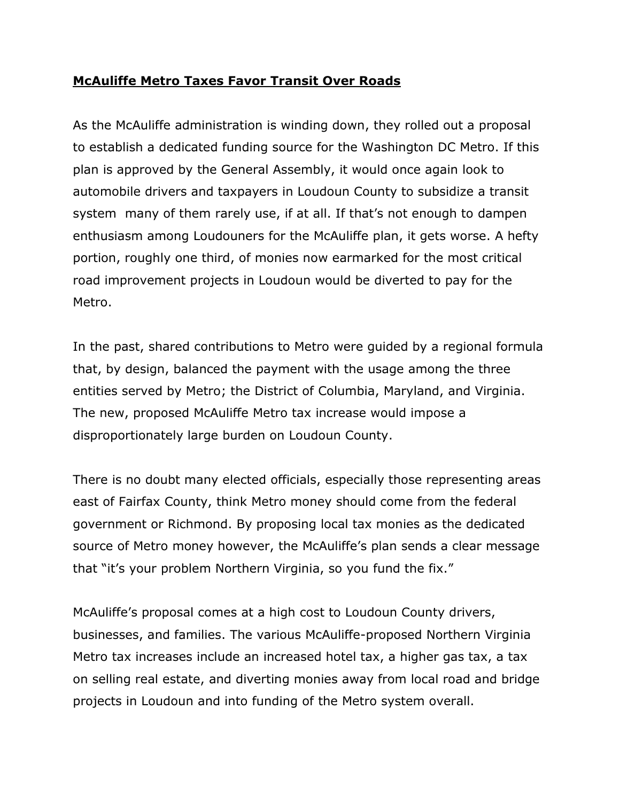## **McAuliffe Metro Taxes Favor Transit Over Roads**

As the McAuliffe administration is winding down, they rolled out a proposal to establish a dedicated funding source for the Washington DC Metro. If this plan is approved by the General Assembly, it would once again look to automobile drivers and taxpayers in Loudoun County to subsidize a transit system many of them rarely use, if at all. If that's not enough to dampen enthusiasm among Loudouners for the McAuliffe plan, it gets worse. A hefty portion, roughly one third, of monies now earmarked for the most critical road improvement projects in Loudoun would be diverted to pay for the Metro.

In the past, shared contributions to Metro were guided by a regional formula that, by design, balanced the payment with the usage among the three entities served by Metro; the District of Columbia, Maryland, and Virginia. The new, proposed McAuliffe Metro tax increase would impose a disproportionately large burden on Loudoun County.

There is no doubt many elected officials, especially those representing areas east of Fairfax County, think Metro money should come from the federal government or Richmond. By proposing local tax monies as the dedicated source of Metro money however, the McAuliffe's plan sends a clear message that "it's your problem Northern Virginia, so you fund the fix."

McAuliffe's proposal comes at a high cost to Loudoun County drivers, businesses, and families. The various McAuliffe-proposed Northern Virginia Metro tax increases include an increased hotel tax, a higher gas tax, a tax on selling real estate, and diverting monies away from local road and bridge projects in Loudoun and into funding of the Metro system overall.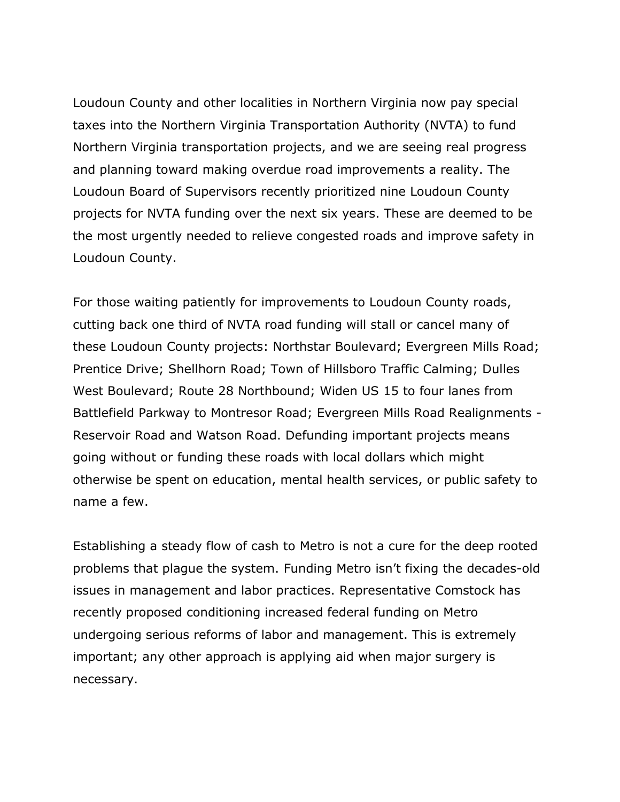Loudoun County and other localities in Northern Virginia now pay special taxes into the Northern Virginia Transportation Authority (NVTA) to fund Northern Virginia transportation projects, and we are seeing real progress and planning toward making overdue road improvements a reality. The Loudoun Board of Supervisors recently prioritized nine Loudoun County projects for NVTA funding over the next six years. These are deemed to be the most urgently needed to relieve congested roads and improve safety in Loudoun County.

For those waiting patiently for improvements to Loudoun County roads, cutting back one third of NVTA road funding will stall or cancel many of these Loudoun County projects: Northstar Boulevard; Evergreen Mills Road; Prentice Drive; Shellhorn Road; Town of Hillsboro Traffic Calming; Dulles West Boulevard; Route 28 Northbound; Widen US 15 to four lanes from Battlefield Parkway to Montresor Road; Evergreen Mills Road Realignments - Reservoir Road and Watson Road. Defunding important projects means going without or funding these roads with local dollars which might otherwise be spent on education, mental health services, or public safety to name a few.

Establishing a steady flow of cash to Metro is not a cure for the deep rooted problems that plague the system. Funding Metro isn't fixing the decades-old issues in management and labor practices. Representative Comstock has recently proposed conditioning increased federal funding on Metro undergoing serious reforms of labor and management. This is extremely important; any other approach is applying aid when major surgery is necessary.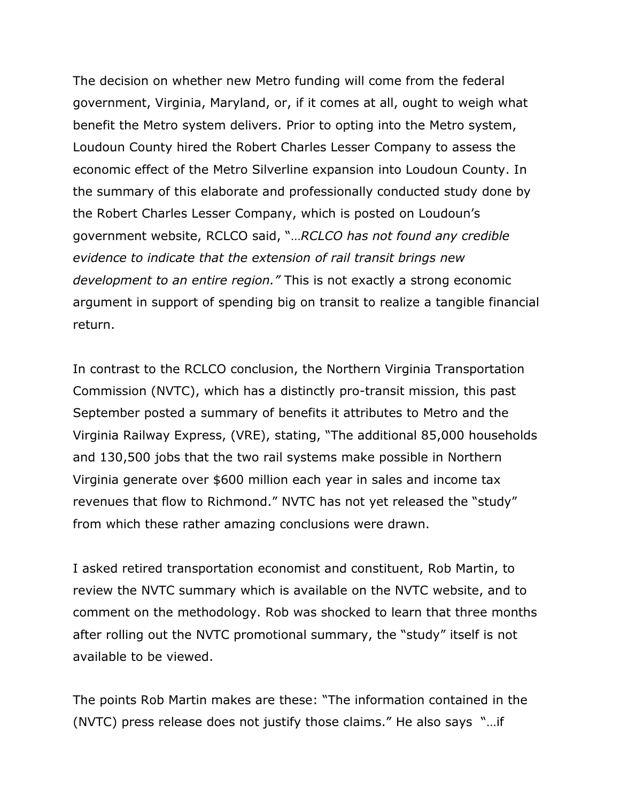The decision on whether new Metro funding will come from the federal government, Virginia, Maryland, or, if it comes at all, ought to weigh what benefit the Metro system delivers. Prior to opting into the Metro system, Loudoun County hired the Robert Charles Lesser Company to assess the economic effect of the Metro Silverline expansion into Loudoun County. In the summary of this elaborate and professionally conducted study done by the Robert Charles Lesser Company, which is posted on Loudoun's government website, RCLCO said, "…*RCLCO has not found any credible evidence to indicate that the extension of rail transit brings new development to an entire region."* This is not exactly a strong economic argument in support of spending big on transit to realize a tangible financial return.

In contrast to the RCLCO conclusion, the Northern Virginia Transportation Commission (NVTC), which has a distinctly pro-transit mission, this past September posted a summary of benefits it attributes to Metro and the Virginia Railway Express, (VRE), stating, "The additional 85,000 households and 130,500 jobs that the two rail systems make possible in Northern Virginia generate over \$600 million each year in sales and income tax revenues that flow to Richmond." NVTC has not yet released the "study" from which these rather amazing conclusions were drawn.

I asked retired transportation economist and constituent, Rob Martin, to review the NVTC summary which is available on the NVTC website, and to comment on the methodology. Rob was shocked to learn that three months after rolling out the NVTC promotional summary, the "study" itself is not available to be viewed.

The points Rob Martin makes are these: "The information contained in the (NVTC) press release does not justify those claims." He also says "…if